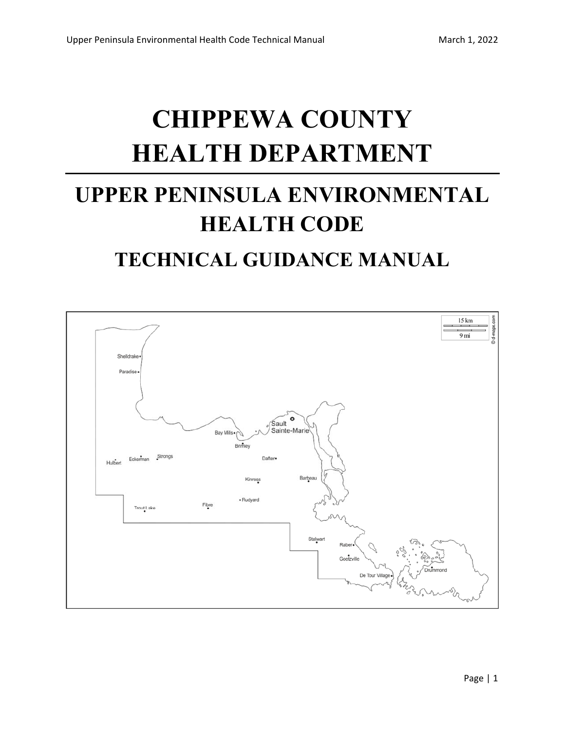# **CHIPPEWA COUNTY HEALTH DEPARTMENT**

## **UPPER PENINSULA ENVIRONMENTAL HEALTH CODE TECHNICAL GUIDANCE MANUAL**

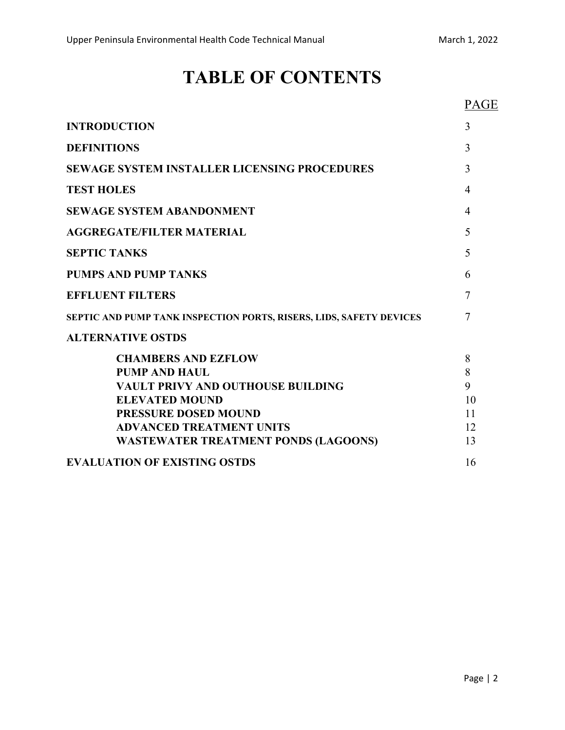## **TABLE OF CONTENTS**

## PAGE

| <b>INTRODUCTION</b>                                                                                                                    | 3                    |
|----------------------------------------------------------------------------------------------------------------------------------------|----------------------|
| <b>DEFINITIONS</b>                                                                                                                     | 3                    |
| <b>SEWAGE SYSTEM INSTALLER LICENSING PROCEDURES</b>                                                                                    | 3                    |
| <b>TEST HOLES</b>                                                                                                                      | $\overline{4}$       |
| <b>SEWAGE SYSTEM ABANDONMENT</b>                                                                                                       | 4                    |
| <b>AGGREGATE/FILTER MATERIAL</b>                                                                                                       | 5                    |
| <b>SEPTIC TANKS</b>                                                                                                                    | 5                    |
| <b>PUMPS AND PUMP TANKS</b>                                                                                                            | 6                    |
| <b>EFFLUENT FILTERS</b>                                                                                                                | 7                    |
| SEPTIC AND PUMP TANK INSPECTION PORTS, RISERS, LIDS, SAFETY DEVICES                                                                    | $\overline{7}$       |
| <b>ALTERNATIVE OSTDS</b>                                                                                                               |                      |
| <b>CHAMBERS AND EZFLOW</b><br><b>PUMP AND HAUL</b><br><b>VAULT PRIVY AND OUTHOUSE BUILDING</b>                                         | 8<br>8<br>9          |
| <b>ELEVATED MOUND</b><br><b>PRESSURE DOSED MOUND</b><br><b>ADVANCED TREATMENT UNITS</b><br><b>WASTEWATER TREATMENT PONDS (LAGOONS)</b> | 10<br>11<br>12<br>13 |
| <b>EVALUATION OF EXISTING OSTDS</b>                                                                                                    | 16                   |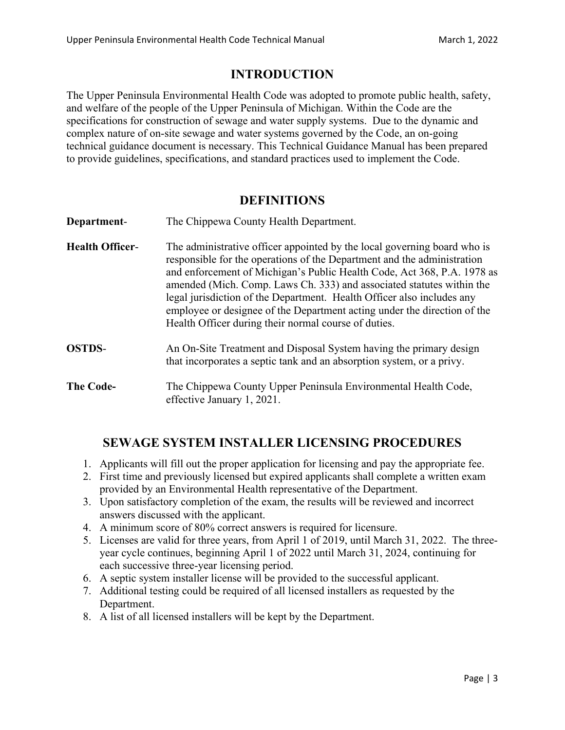## **INTRODUCTION**

The Upper Peninsula Environmental Health Code was adopted to promote public health, safety, and welfare of the people of the Upper Peninsula of Michigan. Within the Code are the specifications for construction of sewage and water supply systems. Due to the dynamic and complex nature of on-site sewage and water systems governed by the Code, an on-going technical guidance document is necessary. This Technical Guidance Manual has been prepared to provide guidelines, specifications, and standard practices used to implement the Code.

### **DEFINITIONS**

| Department-            | The Chippewa County Health Department.                                                                                                                                                                                                                                                                                                                                                                                                                                                                                |
|------------------------|-----------------------------------------------------------------------------------------------------------------------------------------------------------------------------------------------------------------------------------------------------------------------------------------------------------------------------------------------------------------------------------------------------------------------------------------------------------------------------------------------------------------------|
| <b>Health Officer-</b> | The administrative officer appointed by the local governing board who is<br>responsible for the operations of the Department and the administration<br>and enforcement of Michigan's Public Health Code, Act 368, P.A. 1978 as<br>amended (Mich. Comp. Laws Ch. 333) and associated statutes within the<br>legal jurisdiction of the Department. Health Officer also includes any<br>employee or designee of the Department acting under the direction of the<br>Health Officer during their normal course of duties. |
| <b>OSTDS-</b>          | An On-Site Treatment and Disposal System having the primary design<br>that incorporates a septic tank and an absorption system, or a privy.                                                                                                                                                                                                                                                                                                                                                                           |
| <b>The Code-</b>       | The Chippewa County Upper Peninsula Environmental Health Code,<br>effective January 1, 2021.                                                                                                                                                                                                                                                                                                                                                                                                                          |

## **SEWAGE SYSTEM INSTALLER LICENSING PROCEDURES**

- 1. Applicants will fill out the proper application for licensing and pay the appropriate fee.
- 2. First time and previously licensed but expired applicants shall complete a written exam provided by an Environmental Health representative of the Department.
- 3. Upon satisfactory completion of the exam, the results will be reviewed and incorrect answers discussed with the applicant.
- 4. A minimum score of 80% correct answers is required for licensure.
- 5. Licenses are valid for three years, from April 1 of 2019, until March 31, 2022. The threeyear cycle continues, beginning April 1 of 2022 until March 31, 2024, continuing for each successive three-year licensing period.
- 6. A septic system installer license will be provided to the successful applicant.
- 7. Additional testing could be required of all licensed installers as requested by the Department.
- 8. A list of all licensed installers will be kept by the Department.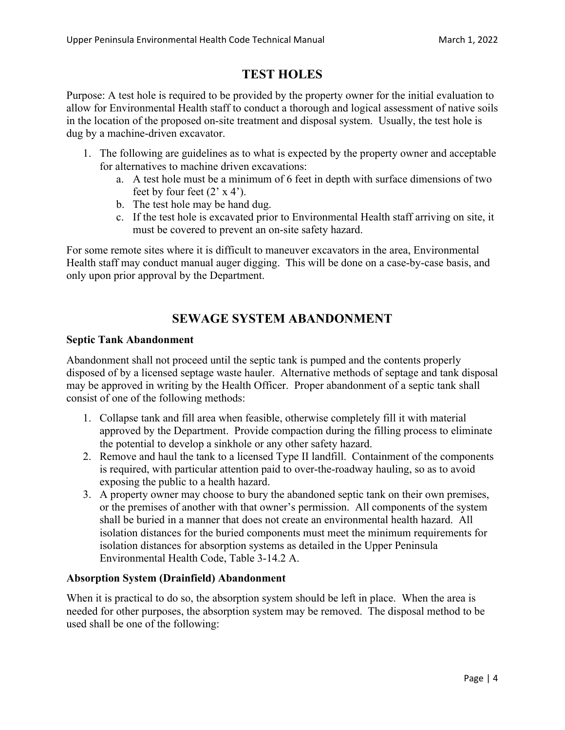## **TEST HOLES**

Purpose: A test hole is required to be provided by the property owner for the initial evaluation to allow for Environmental Health staff to conduct a thorough and logical assessment of native soils in the location of the proposed on-site treatment and disposal system. Usually, the test hole is dug by a machine-driven excavator.

- 1. The following are guidelines as to what is expected by the property owner and acceptable for alternatives to machine driven excavations:
	- a. A test hole must be a minimum of 6 feet in depth with surface dimensions of two feet by four feet  $(2' \times 4')$ .
	- b. The test hole may be hand dug.
	- c. If the test hole is excavated prior to Environmental Health staff arriving on site, it must be covered to prevent an on-site safety hazard.

For some remote sites where it is difficult to maneuver excavators in the area, Environmental Health staff may conduct manual auger digging. This will be done on a case-by-case basis, and only upon prior approval by the Department.

## **SEWAGE SYSTEM ABANDONMENT**

#### **Septic Tank Abandonment**

Abandonment shall not proceed until the septic tank is pumped and the contents properly disposed of by a licensed septage waste hauler. Alternative methods of septage and tank disposal may be approved in writing by the Health Officer. Proper abandonment of a septic tank shall consist of one of the following methods:

- 1. Collapse tank and fill area when feasible, otherwise completely fill it with material approved by the Department. Provide compaction during the filling process to eliminate the potential to develop a sinkhole or any other safety hazard.
- 2. Remove and haul the tank to a licensed Type II landfill. Containment of the components is required, with particular attention paid to over-the-roadway hauling, so as to avoid exposing the public to a health hazard.
- 3. A property owner may choose to bury the abandoned septic tank on their own premises, or the premises of another with that owner's permission. All components of the system shall be buried in a manner that does not create an environmental health hazard. All isolation distances for the buried components must meet the minimum requirements for isolation distances for absorption systems as detailed in the Upper Peninsula Environmental Health Code, Table 3-14.2 A.

#### **Absorption System (Drainfield) Abandonment**

When it is practical to do so, the absorption system should be left in place. When the area is needed for other purposes, the absorption system may be removed. The disposal method to be used shall be one of the following: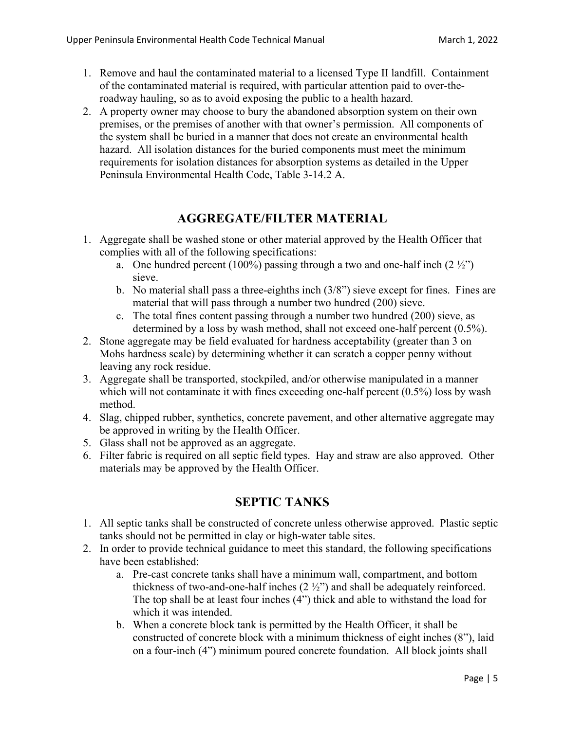- 1. Remove and haul the contaminated material to a licensed Type II landfill. Containment of the contaminated material is required, with particular attention paid to over-theroadway hauling, so as to avoid exposing the public to a health hazard.
- 2. A property owner may choose to bury the abandoned absorption system on their own premises, or the premises of another with that owner's permission. All components of the system shall be buried in a manner that does not create an environmental health hazard. All isolation distances for the buried components must meet the minimum requirements for isolation distances for absorption systems as detailed in the Upper Peninsula Environmental Health Code, Table 3-14.2 A.

## **AGGREGATE/FILTER MATERIAL**

- 1. Aggregate shall be washed stone or other material approved by the Health Officer that complies with all of the following specifications:
	- a. One hundred percent  $(100\%)$  passing through a two and one-half inch  $(2\frac{1}{2})$ sieve.
	- b. No material shall pass a three-eighths inch (3/8") sieve except for fines. Fines are material that will pass through a number two hundred (200) sieve.
	- c. The total fines content passing through a number two hundred (200) sieve, as determined by a loss by wash method, shall not exceed one-half percent (0.5%).
- 2. Stone aggregate may be field evaluated for hardness acceptability (greater than 3 on Mohs hardness scale) by determining whether it can scratch a copper penny without leaving any rock residue.
- 3. Aggregate shall be transported, stockpiled, and/or otherwise manipulated in a manner which will not contaminate it with fines exceeding one-half percent (0.5%) loss by wash method.
- 4. Slag, chipped rubber, synthetics, concrete pavement, and other alternative aggregate may be approved in writing by the Health Officer.
- 5. Glass shall not be approved as an aggregate.
- 6. Filter fabric is required on all septic field types. Hay and straw are also approved. Other materials may be approved by the Health Officer.

## **SEPTIC TANKS**

- 1. All septic tanks shall be constructed of concrete unless otherwise approved. Plastic septic tanks should not be permitted in clay or high-water table sites.
- 2. In order to provide technical guidance to meet this standard, the following specifications have been established:
	- a. Pre-cast concrete tanks shall have a minimum wall, compartment, and bottom thickness of two-and-one-half inches (2 ½") and shall be adequately reinforced. The top shall be at least four inches (4") thick and able to withstand the load for which it was intended.
	- b. When a concrete block tank is permitted by the Health Officer, it shall be constructed of concrete block with a minimum thickness of eight inches (8"), laid on a four-inch (4") minimum poured concrete foundation. All block joints shall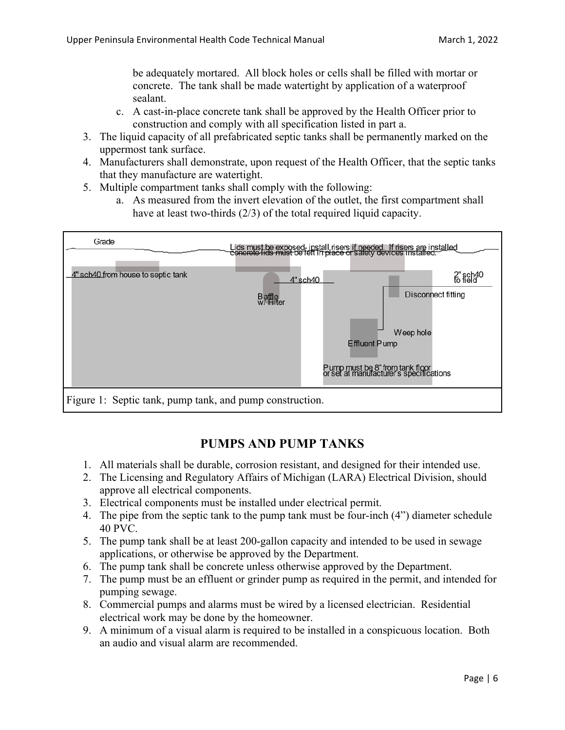be adequately mortared. All block holes or cells shall be filled with mortar or concrete. The tank shall be made watertight by application of a waterproof sealant.

- c. A cast-in-place concrete tank shall be approved by the Health Officer prior to construction and comply with all specification listed in part a.
- 3. The liquid capacity of all prefabricated septic tanks shall be permanently marked on the uppermost tank surface.
- 4. Manufacturers shall demonstrate, upon request of the Health Officer, that the septic tanks that they manufacture are watertight.
- 5. Multiple compartment tanks shall comply with the following:
	- a. As measured from the invert elevation of the outlet, the first compartment shall have at least two-thirds (2/3) of the total required liquid capacity.



## **PUMPS AND PUMP TANKS**

- 1. All materials shall be durable, corrosion resistant, and designed for their intended use.
- 2. The Licensing and Regulatory Affairs of Michigan (LARA) Electrical Division, should approve all electrical components.
- 3. Electrical components must be installed under electrical permit.
- 4. The pipe from the septic tank to the pump tank must be four-inch (4") diameter schedule 40 PVC.
- 5. The pump tank shall be at least 200-gallon capacity and intended to be used in sewage applications, or otherwise be approved by the Department.
- 6. The pump tank shall be concrete unless otherwise approved by the Department.
- 7. The pump must be an effluent or grinder pump as required in the permit, and intended for pumping sewage.
- 8. Commercial pumps and alarms must be wired by a licensed electrician. Residential electrical work may be done by the homeowner.
- 9. A minimum of a visual alarm is required to be installed in a conspicuous location. Both an audio and visual alarm are recommended.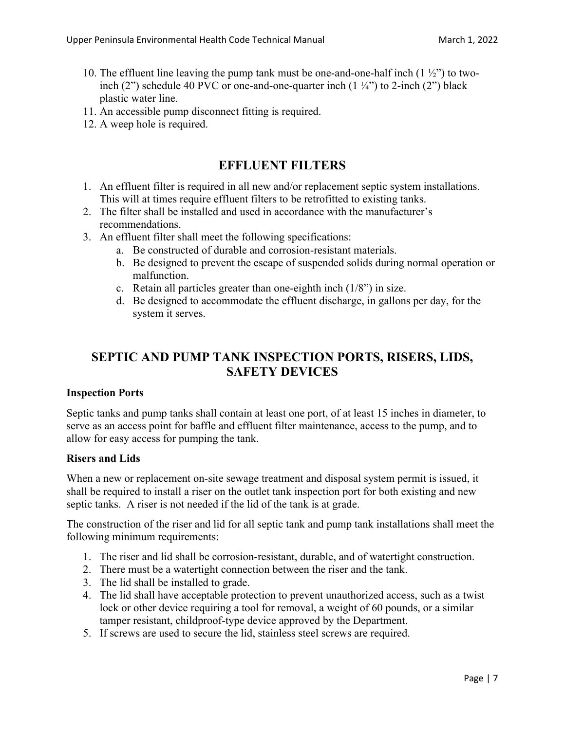- 10. The effluent line leaving the pump tank must be one-and-one-half inch  $(1 \frac{1}{2})$  to twoinch (2") schedule 40 PVC or one-and-one-quarter inch  $(1 \frac{1}{4})$  to 2-inch (2") black plastic water line.
- 11. An accessible pump disconnect fitting is required.
- 12. A weep hole is required.

## **EFFLUENT FILTERS**

- 1. An effluent filter is required in all new and/or replacement septic system installations. This will at times require effluent filters to be retrofitted to existing tanks.
- 2. The filter shall be installed and used in accordance with the manufacturer's recommendations.
- 3. An effluent filter shall meet the following specifications:
	- a. Be constructed of durable and corrosion-resistant materials.
	- b. Be designed to prevent the escape of suspended solids during normal operation or malfunction.
	- c. Retain all particles greater than one-eighth inch (1/8") in size.
	- d. Be designed to accommodate the effluent discharge, in gallons per day, for the system it serves.

## **SEPTIC AND PUMP TANK INSPECTION PORTS, RISERS, LIDS, SAFETY DEVICES**

#### **Inspection Ports**

Septic tanks and pump tanks shall contain at least one port, of at least 15 inches in diameter, to serve as an access point for baffle and effluent filter maintenance, access to the pump, and to allow for easy access for pumping the tank.

#### **Risers and Lids**

When a new or replacement on-site sewage treatment and disposal system permit is issued, it shall be required to install a riser on the outlet tank inspection port for both existing and new septic tanks. A riser is not needed if the lid of the tank is at grade.

The construction of the riser and lid for all septic tank and pump tank installations shall meet the following minimum requirements:

- 1. The riser and lid shall be corrosion-resistant, durable, and of watertight construction.
- 2. There must be a watertight connection between the riser and the tank.
- 3. The lid shall be installed to grade.
- 4. The lid shall have acceptable protection to prevent unauthorized access, such as a twist lock or other device requiring a tool for removal, a weight of 60 pounds, or a similar tamper resistant, childproof-type device approved by the Department.
- 5. If screws are used to secure the lid, stainless steel screws are required.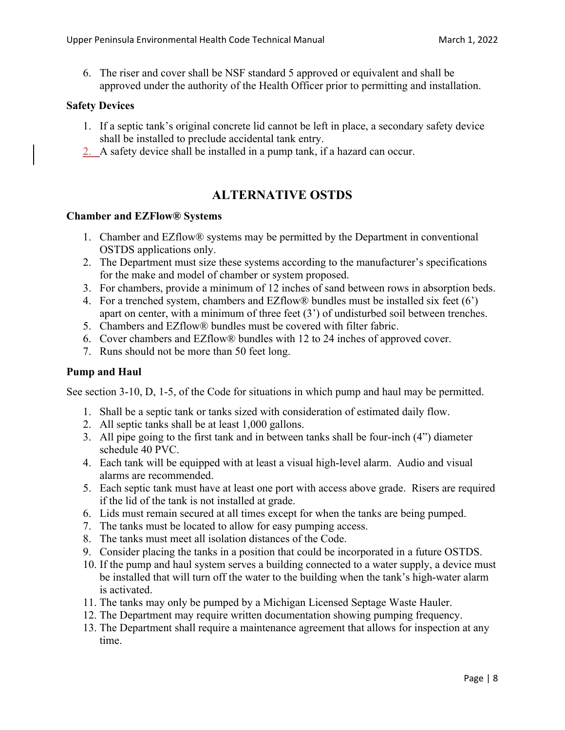6. The riser and cover shall be NSF standard 5 approved or equivalent and shall be approved under the authority of the Health Officer prior to permitting and installation.

#### **Safety Devices**

- 1. If a septic tank's original concrete lid cannot be left in place, a secondary safety device shall be installed to preclude accidental tank entry.
- 2. A safety device shall be installed in a pump tank, if a hazard can occur.

## **ALTERNATIVE OSTDS**

#### **Chamber and EZFlow® Systems**

- 1. Chamber and EZflow® systems may be permitted by the Department in conventional OSTDS applications only.
- 2. The Department must size these systems according to the manufacturer's specifications for the make and model of chamber or system proposed.
- 3. For chambers, provide a minimum of 12 inches of sand between rows in absorption beds.
- 4. For a trenched system, chambers and EZflow® bundles must be installed six feet (6') apart on center, with a minimum of three feet (3') of undisturbed soil between trenches.
- 5. Chambers and EZflow® bundles must be covered with filter fabric.
- 6. Cover chambers and EZflow® bundles with 12 to 24 inches of approved cover.
- 7. Runs should not be more than 50 feet long.

#### **Pump and Haul**

See section 3-10, D, 1-5, of the Code for situations in which pump and haul may be permitted.

- 1. Shall be a septic tank or tanks sized with consideration of estimated daily flow.
- 2. All septic tanks shall be at least 1,000 gallons.
- 3. All pipe going to the first tank and in between tanks shall be four-inch (4") diameter schedule 40 PVC.
- 4. Each tank will be equipped with at least a visual high-level alarm. Audio and visual alarms are recommended.
- 5. Each septic tank must have at least one port with access above grade. Risers are required if the lid of the tank is not installed at grade.
- 6. Lids must remain secured at all times except for when the tanks are being pumped.
- 7. The tanks must be located to allow for easy pumping access.
- 8. The tanks must meet all isolation distances of the Code.
- 9. Consider placing the tanks in a position that could be incorporated in a future OSTDS.
- 10. If the pump and haul system serves a building connected to a water supply, a device must be installed that will turn off the water to the building when the tank's high-water alarm is activated.
- 11. The tanks may only be pumped by a Michigan Licensed Septage Waste Hauler.
- 12. The Department may require written documentation showing pumping frequency.
- 13. The Department shall require a maintenance agreement that allows for inspection at any time.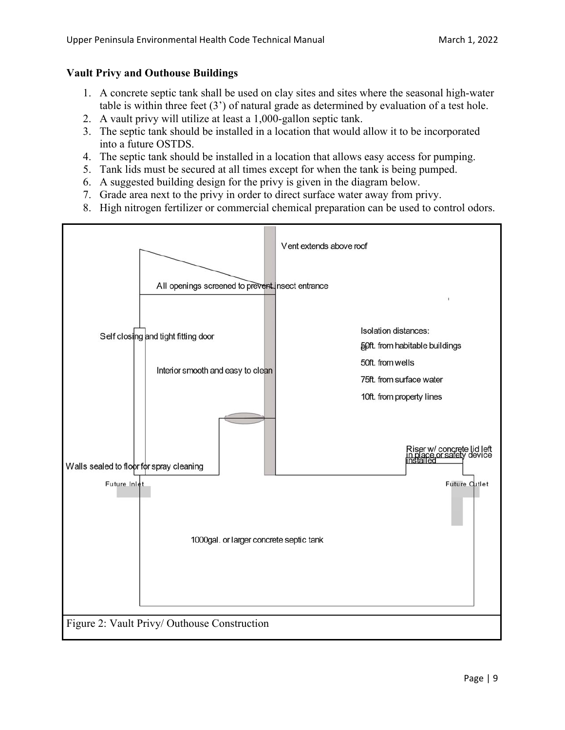#### **Vault Privy and Outhouse Buildings**

- 1. A concrete septic tank shall be used on clay sites and sites where the seasonal high-water table is within three feet (3') of natural grade as determined by evaluation of a test hole.
- 2. A vault privy will utilize at least a 1,000-gallon septic tank.
- 3. The septic tank should be installed in a location that would allow it to be incorporated into a future OSTDS.
- 4. The septic tank should be installed in a location that allows easy access for pumping.
- 5. Tank lids must be secured at all times except for when the tank is being pumped.
- 6. A suggested building design for the privy is given in the diagram below.
- 7. Grade area next to the privy in order to direct surface water away from privy.
- 8. High nitrogen fertilizer or commercial chemical preparation can be used to control odors.

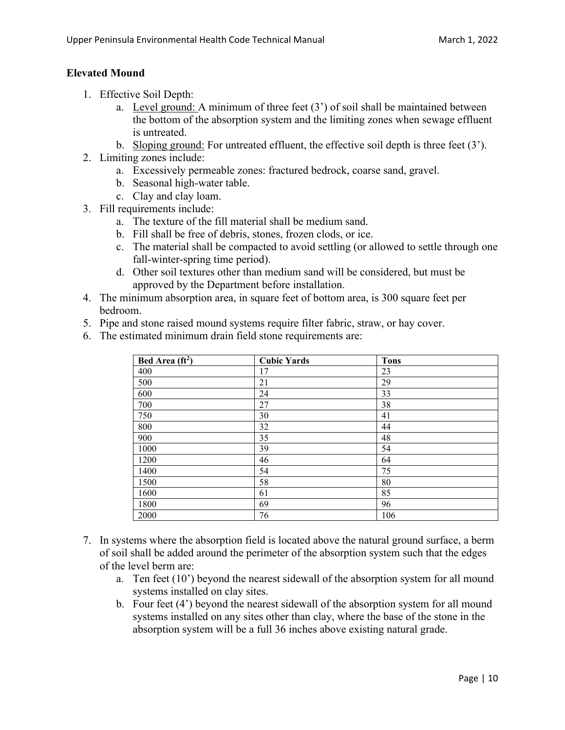#### **Elevated Mound**

- 1. Effective Soil Depth:
	- a. Level ground: A minimum of three feet  $(3')$  of soil shall be maintained between the bottom of the absorption system and the limiting zones when sewage effluent is untreated.
	- b. Sloping ground: For untreated effluent, the effective soil depth is three feet  $(3')$ .
- 2. Limiting zones include:
	- a. Excessively permeable zones: fractured bedrock, coarse sand, gravel.
	- b. Seasonal high-water table.
	- c. Clay and clay loam.
- 3. Fill requirements include:
	- a. The texture of the fill material shall be medium sand.
	- b. Fill shall be free of debris, stones, frozen clods, or ice.
	- c. The material shall be compacted to avoid settling (or allowed to settle through one fall-winter-spring time period).
	- d. Other soil textures other than medium sand will be considered, but must be approved by the Department before installation.
- 4. The minimum absorption area, in square feet of bottom area, is 300 square feet per bedroom.
- 5. Pipe and stone raised mound systems require filter fabric, straw, or hay cover.
- 6. The estimated minimum drain field stone requirements are:

| Bed Area $(ft^2)$ | <b>Cubic Yards</b> | <b>Tons</b> |
|-------------------|--------------------|-------------|
| 400               | 17                 | 23          |
| 500               | 21                 | 29          |
| 600               | 24                 | 33          |
| 700               | 27                 | 38          |
| 750               | 30                 | 41          |
| 800               | 32                 | 44          |
| 900               | 35                 | 48          |
| 1000              | 39                 | 54          |
| 1200              | 46                 | 64          |
| 1400              | 54                 | 75          |
| 1500              | 58                 | 80          |
| 1600              | 61                 | 85          |
| 1800              | 69                 | 96          |
| 2000              | 76                 | 106         |

- 7. In systems where the absorption field is located above the natural ground surface, a berm of soil shall be added around the perimeter of the absorption system such that the edges of the level berm are:
	- a. Ten feet (10') beyond the nearest sidewall of the absorption system for all mound systems installed on clay sites.
	- b. Four feet (4') beyond the nearest sidewall of the absorption system for all mound systems installed on any sites other than clay, where the base of the stone in the absorption system will be a full 36 inches above existing natural grade.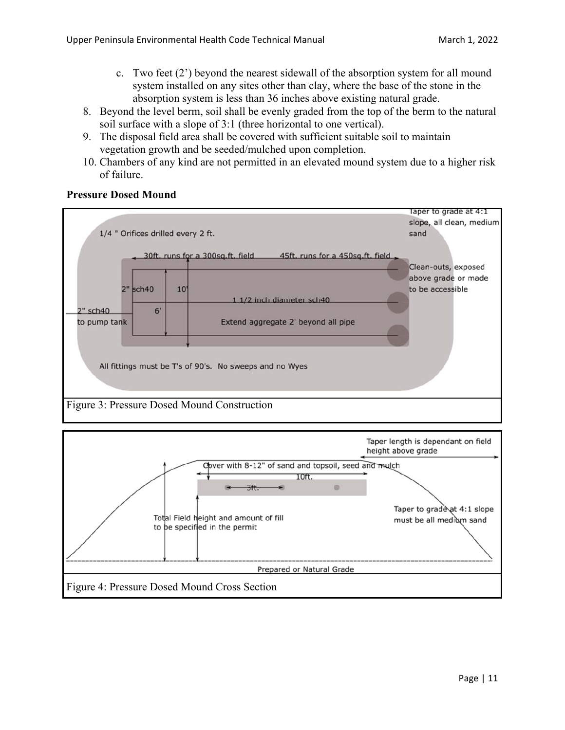- c. Two feet (2') beyond the nearest sidewall of the absorption system for all mound system installed on any sites other than clay, where the base of the stone in the absorption system is less than 36 inches above existing natural grade.
- 8. Beyond the level berm, soil shall be evenly graded from the top of the berm to the natural soil surface with a slope of 3:1 (three horizontal to one vertical).
- 9. The disposal field area shall be covered with sufficient suitable soil to maintain vegetation growth and be seeded/mulched upon completion.
- 10. Chambers of any kind are not permitted in an elevated mound system due to a higher risk of failure.



#### **Pressure Dosed Mound**

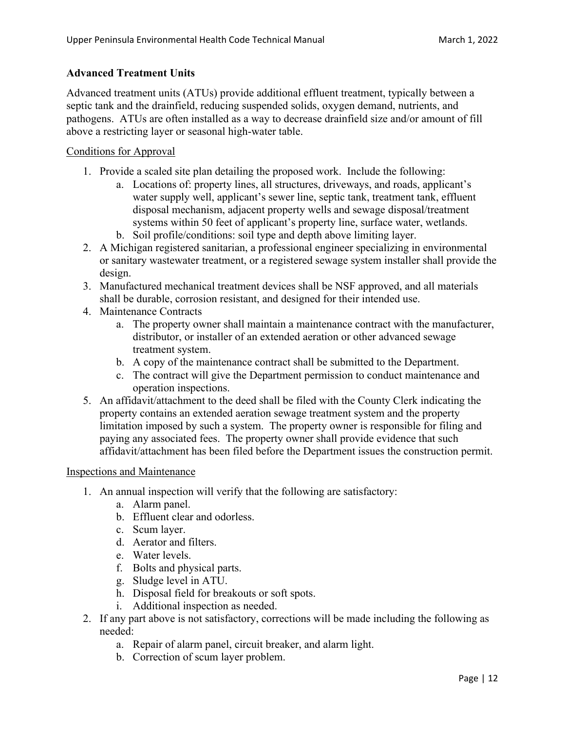#### **Advanced Treatment Units**

Advanced treatment units (ATUs) provide additional effluent treatment, typically between a septic tank and the drainfield, reducing suspended solids, oxygen demand, nutrients, and pathogens. ATUs are often installed as a way to decrease drainfield size and/or amount of fill above a restricting layer or seasonal high-water table.

#### Conditions for Approval

- 1. Provide a scaled site plan detailing the proposed work. Include the following:
	- a. Locations of: property lines, all structures, driveways, and roads, applicant's water supply well, applicant's sewer line, septic tank, treatment tank, effluent disposal mechanism, adjacent property wells and sewage disposal/treatment systems within 50 feet of applicant's property line, surface water, wetlands.
	- b. Soil profile/conditions: soil type and depth above limiting layer.
- 2. A Michigan registered sanitarian, a professional engineer specializing in environmental or sanitary wastewater treatment, or a registered sewage system installer shall provide the design.
- 3. Manufactured mechanical treatment devices shall be NSF approved, and all materials shall be durable, corrosion resistant, and designed for their intended use.
- 4. Maintenance Contracts
	- a. The property owner shall maintain a maintenance contract with the manufacturer, distributor, or installer of an extended aeration or other advanced sewage treatment system.
	- b. A copy of the maintenance contract shall be submitted to the Department.
	- c. The contract will give the Department permission to conduct maintenance and operation inspections.
- 5. An affidavit/attachment to the deed shall be filed with the County Clerk indicating the property contains an extended aeration sewage treatment system and the property limitation imposed by such a system. The property owner is responsible for filing and paying any associated fees. The property owner shall provide evidence that such affidavit/attachment has been filed before the Department issues the construction permit.

#### Inspections and Maintenance

- 1. An annual inspection will verify that the following are satisfactory:
	- a. Alarm panel.
	- b. Effluent clear and odorless.
	- c. Scum layer.
	- d. Aerator and filters.
	- e. Water levels.
	- f. Bolts and physical parts.
	- g. Sludge level in ATU.
	- h. Disposal field for breakouts or soft spots.
	- i. Additional inspection as needed.
- 2. If any part above is not satisfactory, corrections will be made including the following as needed:
	- a. Repair of alarm panel, circuit breaker, and alarm light.
	- b. Correction of scum layer problem.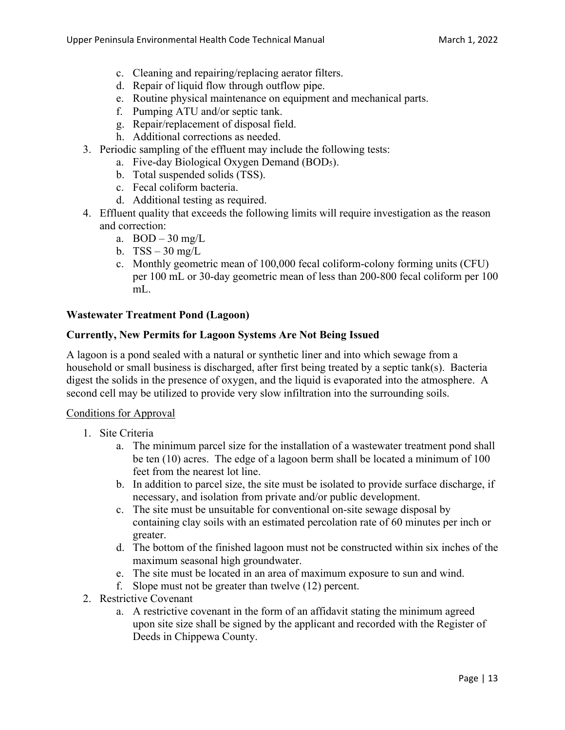- c. Cleaning and repairing/replacing aerator filters.
- d. Repair of liquid flow through outflow pipe.
- e. Routine physical maintenance on equipment and mechanical parts.
- f. Pumping ATU and/or septic tank.
- g. Repair/replacement of disposal field.
- h. Additional corrections as needed.
- 3. Periodic sampling of the effluent may include the following tests:
	- a. Five-day Biological Oxygen Demand (BOD5).
	- b. Total suspended solids (TSS).
	- c. Fecal coliform bacteria.
	- d. Additional testing as required.
- 4. Effluent quality that exceeds the following limits will require investigation as the reason and correction:
	- a.  $BOD 30$  mg/L
	- b.  $TSS 30$  mg/L
	- c. Monthly geometric mean of 100,000 fecal coliform-colony forming units (CFU) per 100 mL or 30-day geometric mean of less than 200-800 fecal coliform per 100 mL.

#### **Wastewater Treatment Pond (Lagoon)**

#### **Currently, New Permits for Lagoon Systems Are Not Being Issued**

A lagoon is a pond sealed with a natural or synthetic liner and into which sewage from a household or small business is discharged, after first being treated by a septic tank(s). Bacteria digest the solids in the presence of oxygen, and the liquid is evaporated into the atmosphere. A second cell may be utilized to provide very slow infiltration into the surrounding soils.

#### Conditions for Approval

- 1. Site Criteria
	- a. The minimum parcel size for the installation of a wastewater treatment pond shall be ten (10) acres. The edge of a lagoon berm shall be located a minimum of 100 feet from the nearest lot line.
	- b. In addition to parcel size, the site must be isolated to provide surface discharge, if necessary, and isolation from private and/or public development.
	- c. The site must be unsuitable for conventional on-site sewage disposal by containing clay soils with an estimated percolation rate of 60 minutes per inch or greater.
	- d. The bottom of the finished lagoon must not be constructed within six inches of the maximum seasonal high groundwater.
	- e. The site must be located in an area of maximum exposure to sun and wind.
	- f. Slope must not be greater than twelve (12) percent.
- 2. Restrictive Covenant
	- a. A restrictive covenant in the form of an affidavit stating the minimum agreed upon site size shall be signed by the applicant and recorded with the Register of Deeds in Chippewa County.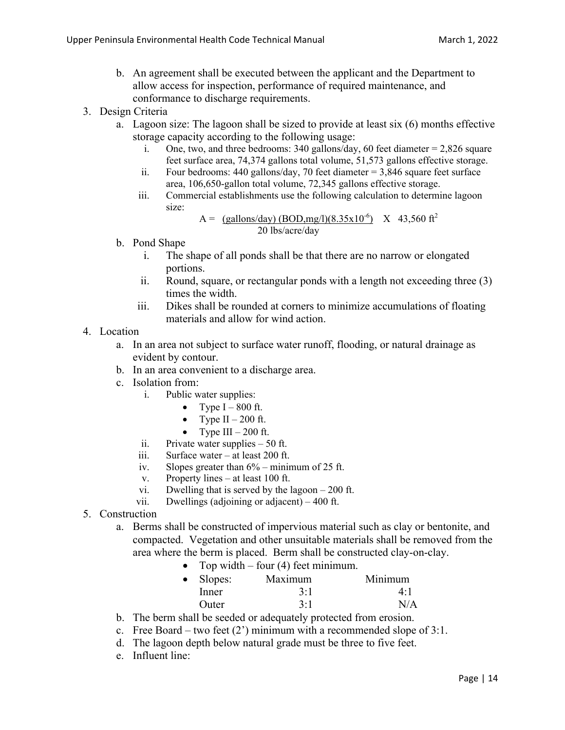- b. An agreement shall be executed between the applicant and the Department to allow access for inspection, performance of required maintenance, and conformance to discharge requirements.
- 3. Design Criteria
	- a. Lagoon size: The lagoon shall be sized to provide at least six (6) months effective storage capacity according to the following usage:
		- i. One, two, and three bedrooms:  $340$  gallons/day,  $60$  feet diameter = 2,826 square feet surface area, 74,374 gallons total volume, 51,573 gallons effective storage.
		- ii. Four bedrooms: 440 gallons/day, 70 feet diameter = 3,846 square feet surface area, 106,650-gallon total volume, 72,345 gallons effective storage.
		- iii. Commercial establishments use the following calculation to determine lagoon size:

A = 
$$
(\frac{gallons/day)(BOD, mg/l)(8.35x10^{-6})}{20 \text{ lbs/acre/day}} \times 43,560 \text{ ft}^2
$$

- b. Pond Shape
	- i. The shape of all ponds shall be that there are no narrow or elongated portions.
	- ii. Round, square, or rectangular ponds with a length not exceeding three (3) times the width.
	- iii. Dikes shall be rounded at corners to minimize accumulations of floating materials and allow for wind action.
- 4. Location
	- a. In an area not subject to surface water runoff, flooding, or natural drainage as evident by contour.
	- b. In an area convenient to a discharge area.
	- c. Isolation from:
		- i. Public water supplies:
			- Type  $I 800$  ft.
			- Type II 200 ft.
			- Type III 200 ft.
		- ii. Private water supplies 50 ft.
		- iii. Surface water at least 200 ft.
		- iv. Slopes greater than 6% minimum of 25 ft.
		- v. Property lines at least 100 ft.
		- vi. Dwelling that is served by the lagoon 200 ft.
		- vii. Dwellings (adjoining or adjacent) 400 ft.
- 5. Construction
	- a. Berms shall be constructed of impervious material such as clay or bentonite, and compacted. Vegetation and other unsuitable materials shall be removed from the area where the berm is placed. Berm shall be constructed clay-on-clay.
		- Top width four  $(4)$  feet minimum.

| $\bullet$ Slopes: | Maximum | Minimum |
|-------------------|---------|---------|
| Inner             | 3:1     | 4:1     |
| <b>Outer</b>      | 3:1     | N/A     |

- b. The berm shall be seeded or adequately protected from erosion.
- c. Free Board two feet  $(2')$  minimum with a recommended slope of 3:1.
- d. The lagoon depth below natural grade must be three to five feet.
- e. Influent line: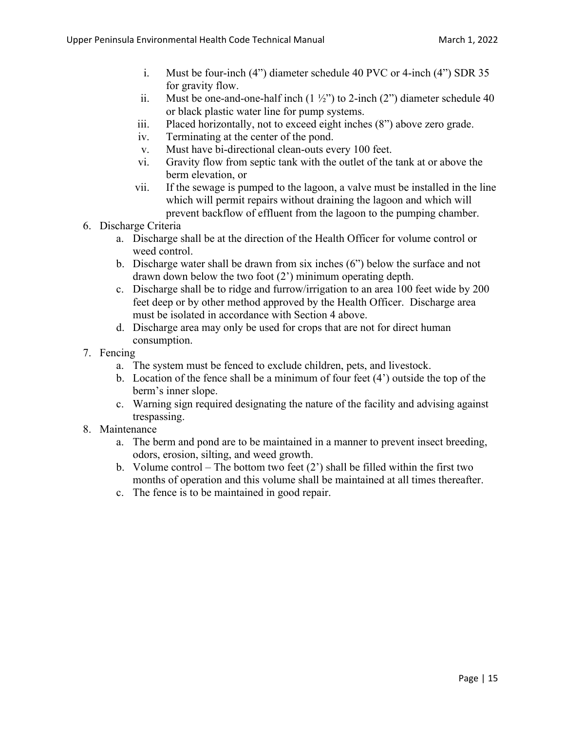- i. Must be four-inch (4") diameter schedule 40 PVC or 4-inch (4") SDR 35 for gravity flow.
- ii. Must be one-and-one-half inch  $(1 \frac{1}{2})$  to 2-inch  $(2)$  diameter schedule 40 or black plastic water line for pump systems.
- iii. Placed horizontally, not to exceed eight inches (8") above zero grade.
- iv. Terminating at the center of the pond.
- v. Must have bi-directional clean-outs every 100 feet.
- vi. Gravity flow from septic tank with the outlet of the tank at or above the berm elevation, or
- vii. If the sewage is pumped to the lagoon, a valve must be installed in the line which will permit repairs without draining the lagoon and which will prevent backflow of effluent from the lagoon to the pumping chamber.
- 6. Discharge Criteria
	- a. Discharge shall be at the direction of the Health Officer for volume control or weed control.
	- b. Discharge water shall be drawn from six inches (6") below the surface and not drawn down below the two foot (2') minimum operating depth.
	- c. Discharge shall be to ridge and furrow/irrigation to an area 100 feet wide by 200 feet deep or by other method approved by the Health Officer. Discharge area must be isolated in accordance with Section 4 above.
	- d. Discharge area may only be used for crops that are not for direct human consumption.
- 7. Fencing
	- a. The system must be fenced to exclude children, pets, and livestock.
	- b. Location of the fence shall be a minimum of four feet (4') outside the top of the berm's inner slope.
	- c. Warning sign required designating the nature of the facility and advising against trespassing.
- 8. Maintenance
	- a. The berm and pond are to be maintained in a manner to prevent insect breeding, odors, erosion, silting, and weed growth.
	- b. Volume control The bottom two feet  $(2')$  shall be filled within the first two months of operation and this volume shall be maintained at all times thereafter.
	- c. The fence is to be maintained in good repair.